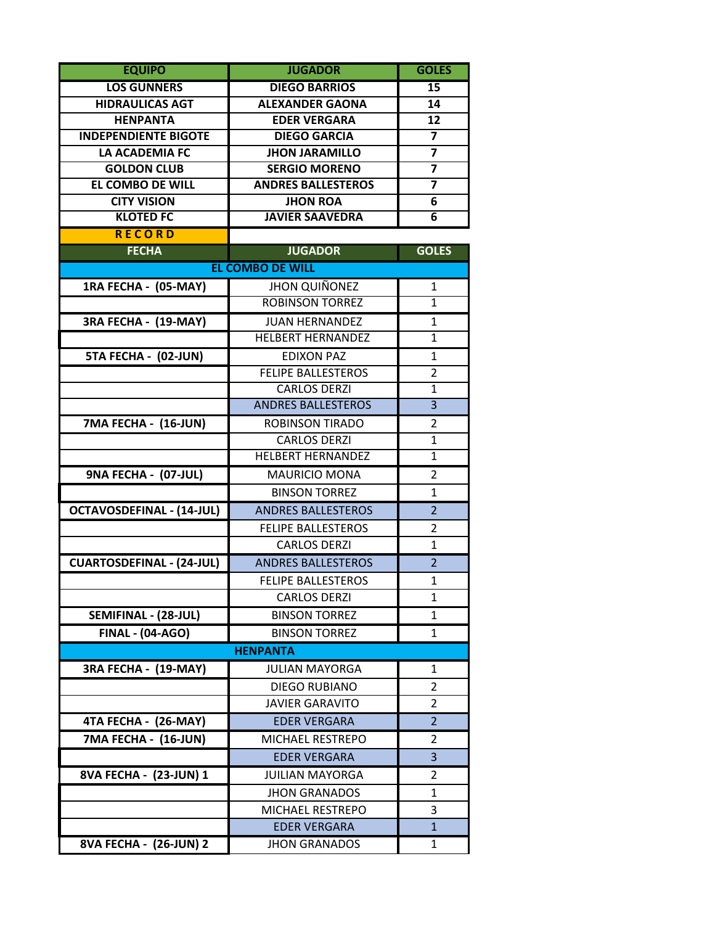| <b>EQUIPO</b>                    | <b>JUGADOR</b>            | <b>GOLES</b>            |
|----------------------------------|---------------------------|-------------------------|
| <b>LOS GUNNERS</b>               | <b>DIEGO BARRIOS</b>      | $\overline{15}$         |
| <b>HIDRAULICAS AGT</b>           | <b>ALEXANDER GAONA</b>    | 14                      |
| <b>HENPANTA</b>                  | <b>EDER VERGARA</b>       | 12                      |
| <b>INDEPENDIENTE BIGOTE</b>      | <b>DIEGO GARCIA</b>       | $\overline{7}$          |
| <b>LA ACADEMIA FC</b>            | <b>JHON JARAMILLO</b>     | $\overline{\mathbf{7}}$ |
| <b>GOLDON CLUB</b>               | <b>SERGIO MORENO</b>      | $\overline{\mathbf{z}}$ |
| <b>EL COMBO DE WILL</b>          | <b>ANDRES BALLESTEROS</b> | $\overline{\mathbf{z}}$ |
| <b>CITY VISION</b>               | <b>JHON ROA</b>           | 6                       |
| <b>KLOTED FC</b>                 | <b>JAVIER SAAVEDRA</b>    | 6                       |
| <b>RECORD</b>                    |                           |                         |
| <b>FECHA</b>                     | <b>JUGADOR</b>            | <b>GOLES</b>            |
|                                  | <b>EL COMBO DE WILL</b>   |                         |
| 1RA FECHA - (05-MAY)             | <b>JHON QUIÑONEZ</b>      | 1                       |
|                                  | <b>ROBINSON TORREZ</b>    | $\mathbf{1}$            |
| 3RA FECHA - (19-MAY)             | <b>JUAN HERNANDEZ</b>     | 1                       |
|                                  | <b>HELBERT HERNANDEZ</b>  | $\overline{1}$          |
| 5TA FECHA - (02-JUN)             | <b>EDIXON PAZ</b>         | 1                       |
|                                  | <b>FELIPE BALLESTEROS</b> | $\overline{2}$          |
|                                  | <b>CARLOS DERZI</b>       | 1                       |
|                                  | <b>ANDRES BALLESTEROS</b> | $\overline{3}$          |
| 7MA FECHA - (16-JUN)             | <b>ROBINSON TIRADO</b>    | $\overline{2}$          |
|                                  | <b>CARLOS DERZI</b>       | $\mathbf{1}$            |
|                                  | <b>HELBERT HERNANDEZ</b>  | $\mathbf{1}$            |
| 9NA FECHA - (07-JUL)             | <b>MAURICIO MONA</b>      | $\overline{2}$          |
|                                  | <b>BINSON TORREZ</b>      | 1                       |
| <b>OCTAVOSDEFINAL - (14-JUL)</b> | <b>ANDRES BALLESTEROS</b> | $\overline{2}$          |
|                                  | <b>FELIPE BALLESTEROS</b> | $\overline{2}$          |
|                                  | <b>CARLOS DERZI</b>       | $\mathbf{1}$            |
| <b>CUARTOSDEFINAL - (24-JUL)</b> | <b>ANDRES BALLESTEROS</b> | $\overline{2}$          |
|                                  | <b>FELIPE BALLESTEROS</b> | $\mathbf{1}$            |
|                                  | <b>CARLOS DERZI</b>       | 1                       |
| SEMIFINAL - (28-JUL)             | <b>BINSON TORREZ</b>      | 1                       |
| <b>FINAL - (04-AGO)</b>          | <b>BINSON TORREZ</b>      | 1                       |
|                                  | <b>HENPANTA</b>           |                         |
| 3RA FECHA - (19-MAY)             | <b>JULIAN MAYORGA</b>     | 1                       |
|                                  | <b>DIEGO RUBIANO</b>      | 2                       |
|                                  | <b>JAVIER GARAVITO</b>    | $\overline{2}$          |
| 4TA FECHA - (26-MAY)             | <b>EDER VERGARA</b>       | 2                       |
| 7MA FECHA - (16-JUN)             | <b>MICHAEL RESTREPO</b>   | $\overline{2}$          |
|                                  | <b>EDER VERGARA</b>       | 3                       |
| 8VA FECHA - (23-JUN) 1           | <b>JUILIAN MAYORGA</b>    | 2                       |
|                                  |                           |                         |
|                                  | <b>JHON GRANADOS</b>      | 1                       |
|                                  | MICHAEL RESTREPO          | 3                       |
|                                  | <b>EDER VERGARA</b>       | 1                       |
| 8VA FECHA - (26-JUN) 2           | <b>JHON GRANADOS</b>      | 1                       |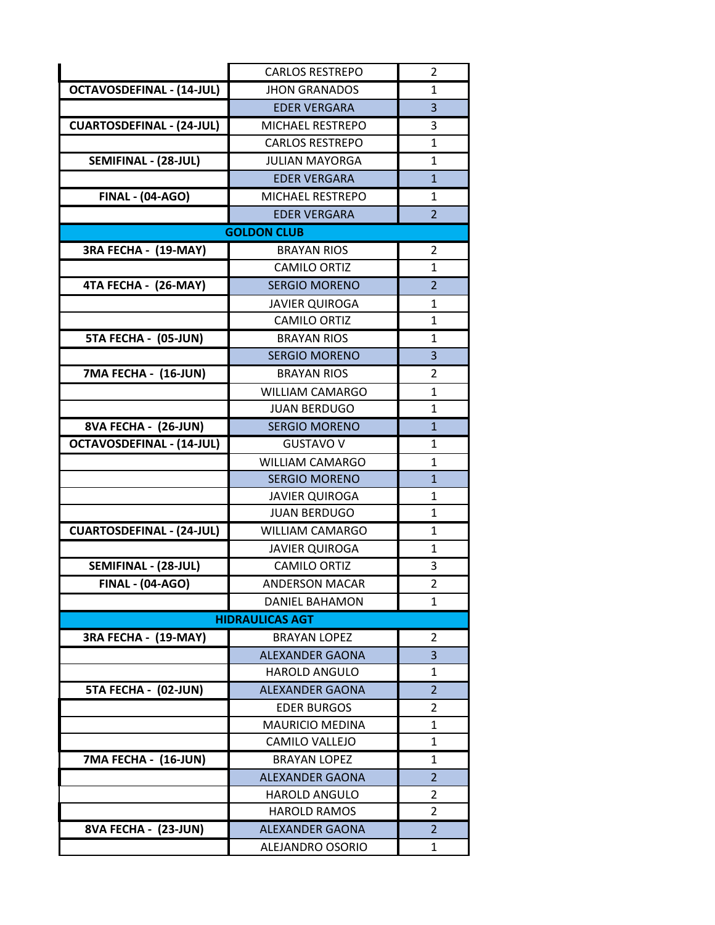|                                  | <b>CARLOS RESTREPO</b>  | 2              |
|----------------------------------|-------------------------|----------------|
| <b>OCTAVOSDEFINAL - (14-JUL)</b> | <b>JHON GRANADOS</b>    | 1              |
|                                  | <b>EDER VERGARA</b>     | 3              |
| <b>CUARTOSDEFINAL - (24-JUL)</b> | <b>MICHAEL RESTREPO</b> | 3              |
|                                  | <b>CARLOS RESTREPO</b>  | $\mathbf{1}$   |
| SEMIFINAL - (28-JUL)             | <b>JULIAN MAYORGA</b>   | 1              |
|                                  | <b>EDER VERGARA</b>     | $\overline{1}$ |
| <b>FINAL - (04-AGO)</b>          | <b>MICHAEL RESTREPO</b> | 1              |
|                                  | <b>EDER VERGARA</b>     | $\overline{2}$ |
|                                  | <b>GOLDON CLUB</b>      |                |
| 3RA FECHA - (19-MAY)             | <b>BRAYAN RIOS</b>      | $\overline{2}$ |
|                                  | <b>CAMILO ORTIZ</b>     | $\mathbf{1}$   |
| 4TA FECHA - (26-MAY)             | <b>SERGIO MORENO</b>    | $\overline{2}$ |
|                                  | <b>JAVIER QUIROGA</b>   | 1              |
|                                  | <b>CAMILO ORTIZ</b>     | $\mathbf{1}$   |
| 5TA FECHA - (05-JUN)             | <b>BRAYAN RIOS</b>      | 1              |
|                                  | <b>SERGIO MORENO</b>    | 3              |
| 7MA FECHA - (16-JUN)             | <b>BRAYAN RIOS</b>      | 2              |
|                                  | <b>WILLIAM CAMARGO</b>  | $\mathbf{1}$   |
|                                  | <b>JUAN BERDUGO</b>     | 1              |
| 8VA FECHA - (26-JUN)             | <b>SERGIO MORENO</b>    | $\mathbf{1}$   |
| <b>OCTAVOSDEFINAL - (14-JUL)</b> | <b>GUSTAVO V</b>        | $\mathbf{1}$   |
|                                  | <b>WILLIAM CAMARGO</b>  | $\mathbf{1}$   |
|                                  | <b>SERGIO MORENO</b>    | $\mathbf{1}$   |
|                                  | <b>JAVIER QUIROGA</b>   | 1              |
|                                  | <b>JUAN BERDUGO</b>     | 1              |
| <b>CUARTOSDEFINAL - (24-JUL)</b> | <b>WILLIAM CAMARGO</b>  | 1              |
|                                  | <b>JAVIER QUIROGA</b>   | 1              |
| SEMIFINAL - (28-JUL)             | <b>CAMILO ORTIZ</b>     | 3              |
| <b>FINAL - (04-AGO)</b>          | <b>ANDERSON MACAR</b>   | $\overline{2}$ |
|                                  | <b>DANIEL BAHAMON</b>   | $\mathbf{1}$   |
|                                  | <b>HIDRAULICAS AGT</b>  |                |
| 3RA FECHA - (19-MAY)             | <b>BRAYAN LOPEZ</b>     | 2              |
|                                  | <b>ALEXANDER GAONA</b>  | 3              |
|                                  | <b>HAROLD ANGULO</b>    | 1              |
| 5TA FECHA - (02-JUN)             | <b>ALEXANDER GAONA</b>  | $\overline{2}$ |
|                                  | <b>EDER BURGOS</b>      | 2              |
|                                  | <b>MAURICIO MEDINA</b>  | $\mathbf{1}$   |
|                                  | CAMILO VALLEJO          | 1              |
| 7MA FECHA - (16-JUN)             | <b>BRAYAN LOPEZ</b>     | 1              |
|                                  | <b>ALEXANDER GAONA</b>  | $\overline{2}$ |
|                                  | <b>HAROLD ANGULO</b>    | 2              |
|                                  | <b>HAROLD RAMOS</b>     | 2              |
| 8VA FECHA - (23-JUN)             | <b>ALEXANDER GAONA</b>  | $\overline{2}$ |
|                                  | ALEJANDRO OSORIO        | 1              |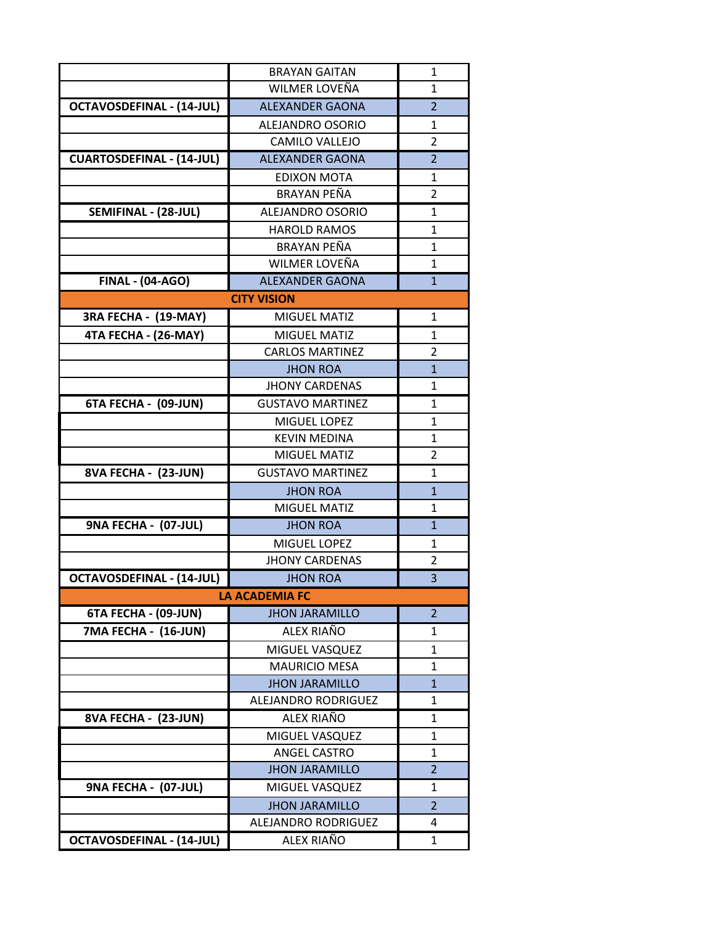|                                  | <b>BRAYAN GAITAN</b>    | $\mathbf{1}$   |
|----------------------------------|-------------------------|----------------|
|                                  | WILMER LOVEÑA           | 1              |
| <b>OCTAVOSDEFINAL - (14-JUL)</b> | <b>ALEXANDER GAONA</b>  | $\overline{2}$ |
|                                  | <b>ALEJANDRO OSORIO</b> | $\mathbf{1}$   |
|                                  | <b>CAMILO VALLEJO</b>   | $\overline{2}$ |
| <b>CUARTOSDEFINAL - (14-JUL)</b> | <b>ALEXANDER GAONA</b>  | $\overline{2}$ |
|                                  | <b>EDIXON MOTA</b>      | 1              |
|                                  | BRAYAN PEÑA             | $\overline{2}$ |
| SEMIFINAL - (28-JUL)             | ALEJANDRO OSORIO        | 1              |
|                                  | <b>HAROLD RAMOS</b>     | $\mathbf{1}$   |
|                                  | <b>BRAYAN PEÑA</b>      | 1              |
|                                  | WILMER LOVEÑA           | $\mathbf{1}$   |
| <b>FINAL - (04-AGO)</b>          | <b>ALEXANDER GAONA</b>  | $\mathbf{1}$   |
|                                  | <b>CITY VISION</b>      |                |
| 3RA FECHA - (19-MAY)             | <b>MIGUEL MATIZ</b>     | 1              |
| 4TA FECHA - (26-MAY)             | <b>MIGUEL MATIZ</b>     | 1              |
|                                  | <b>CARLOS MARTINEZ</b>  | $\overline{2}$ |
|                                  | <b>JHON ROA</b>         | $\mathbf{1}$   |
|                                  | <b>JHONY CARDENAS</b>   | $\mathbf{1}$   |
| 6TA FECHA - (09-JUN)             | <b>GUSTAVO MARTINEZ</b> | $\mathbf{1}$   |
|                                  | MIGUEL LOPEZ            | $\mathbf{1}$   |
|                                  | <b>KEVIN MEDINA</b>     | 1              |
|                                  | <b>MIGUEL MATIZ</b>     | $\overline{2}$ |
| <b>8VA FECHA - (23-JUN)</b>      | <b>GUSTAVO MARTINEZ</b> | 1              |
|                                  | <b>JHON ROA</b>         | $\mathbf{1}$   |
|                                  | <b>MIGUEL MATIZ</b>     | $\mathbf{1}$   |
| 9NA FECHA - (07-JUL)             | <b>JHON ROA</b>         | $\mathbf{1}$   |
|                                  | MIGUEL LOPEZ            | 1              |
|                                  | <b>JHONY CARDENAS</b>   | $\overline{2}$ |
| <b>OCTAVOSDEFINAL - (14-JUL)</b> | <b>JHON ROA</b>         | 3              |
|                                  | <b>LA ACADEMIA FC</b>   |                |
| 6TA FECHA - (09-JUN)             | <b>JHON JARAMILLO</b>   | $\overline{2}$ |
| 7MA FECHA - (16-JUN)             | ALEX RIAÑO              | 1              |
|                                  | MIGUEL VASQUEZ          | 1              |
|                                  | <b>MAURICIO MESA</b>    | $\mathbf{1}$   |
|                                  | <b>JHON JARAMILLO</b>   | $\mathbf{1}$   |
|                                  | ALEJANDRO RODRIGUEZ     | 1              |
| 8VA FECHA - (23-JUN)             | ALEX RIAÑO              | 1              |
|                                  | MIGUEL VASQUEZ          | $\mathbf{1}$   |
|                                  | ANGEL CASTRO            | 1              |
|                                  | <b>JHON JARAMILLO</b>   | $\overline{2}$ |
| 9NA FECHA - (07-JUL)             | MIGUEL VASQUEZ          | 1              |
|                                  | <b>JHON JARAMILLO</b>   | $\overline{2}$ |
|                                  | ALEJANDRO RODRIGUEZ     | 4              |
| <b>OCTAVOSDEFINAL - (14-JUL)</b> | ALEX RIAÑO              | $\mathbf{1}$   |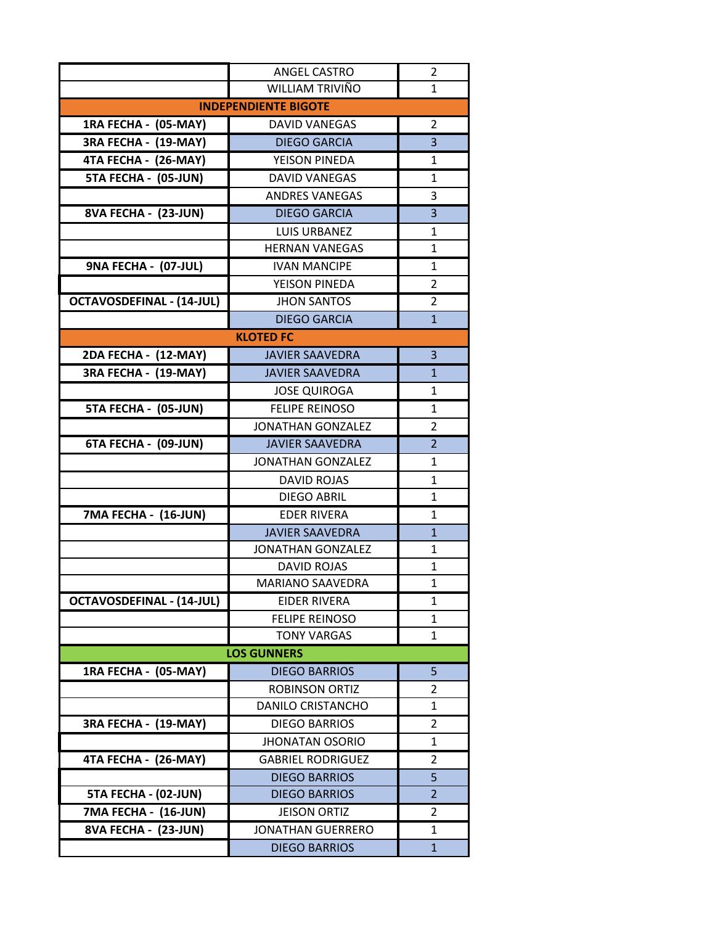|                                  | <b>ANGEL CASTRO</b>      | 2              |  |
|----------------------------------|--------------------------|----------------|--|
|                                  | WILLIAM TRIVIÑO          | $\mathbf{1}$   |  |
| <b>INDEPENDIENTE BIGOTE</b>      |                          |                |  |
| 1RA FECHA - (05-MAY)             | <b>DAVID VANEGAS</b>     | 2              |  |
| 3RA FECHA - (19-MAY)             | <b>DIEGO GARCIA</b>      | 3              |  |
| 4TA FECHA - (26-MAY)             | YEISON PINEDA            | 1              |  |
| 5TA FECHA - (05-JUN)             | <b>DAVID VANEGAS</b>     | 1              |  |
|                                  | <b>ANDRES VANEGAS</b>    | 3              |  |
| 8VA FECHA - (23-JUN)             | <b>DIEGO GARCIA</b>      | $\overline{3}$ |  |
|                                  | <b>LUIS URBANEZ</b>      | 1              |  |
|                                  | <b>HERNAN VANEGAS</b>    | 1              |  |
| 9NA FECHA - (07-JUL)             | <b>IVAN MANCIPE</b>      | $\mathbf{1}$   |  |
|                                  | YEISON PINEDA            | $\overline{2}$ |  |
| <b>OCTAVOSDEFINAL - (14-JUL)</b> | <b>JHON SANTOS</b>       | 2              |  |
|                                  | <b>DIEGO GARCIA</b>      | $\mathbf{1}$   |  |
|                                  | <b>KLOTED FC</b>         |                |  |
| 2DA FECHA - (12-MAY)             | <b>JAVIER SAAVEDRA</b>   | 3              |  |
| 3RA FECHA - (19-MAY)             | <b>JAVIER SAAVEDRA</b>   | $\mathbf{1}$   |  |
|                                  | <b>JOSE QUIROGA</b>      | $\mathbf{1}$   |  |
| 5TA FECHA - (05-JUN)             | <b>FELIPE REINOSO</b>    | 1              |  |
|                                  | <b>JONATHAN GONZALEZ</b> | $\overline{2}$ |  |
| 6TA FECHA - (09-JUN)             | <b>JAVIER SAAVEDRA</b>   | $\overline{2}$ |  |
|                                  | <b>JONATHAN GONZALEZ</b> | 1              |  |
|                                  | <b>DAVID ROJAS</b>       | 1              |  |
|                                  | DIEGO ABRIL              | 1              |  |
| 7MA FECHA - (16-JUN)             | <b>EDER RIVERA</b>       | 1              |  |
|                                  | <b>JAVIER SAAVEDRA</b>   | $\mathbf{1}$   |  |
|                                  | <b>JONATHAN GONZALEZ</b> | 1              |  |
|                                  | <b>DAVID ROJAS</b>       | $\mathbf{1}$   |  |
|                                  | MARIANO SAAVEDRA         | 1              |  |
| <b>OCTAVOSDEFINAL - (14-JUL)</b> | <b>EIDER RIVERA</b>      | 1              |  |
|                                  | <b>FELIPE REINOSO</b>    | 1              |  |
|                                  | <b>TONY VARGAS</b>       | 1              |  |
|                                  | <b>LOS GUNNERS</b>       |                |  |
| 1RA FECHA - (05-MAY)             | <b>DIEGO BARRIOS</b>     | 5              |  |
|                                  | <b>ROBINSON ORTIZ</b>    | 2              |  |
|                                  | <b>DANILO CRISTANCHO</b> | 1              |  |
| 3RA FECHA - (19-MAY)             | <b>DIEGO BARRIOS</b>     | 2              |  |
|                                  | <b>JHONATAN OSORIO</b>   | 1              |  |
| 4TA FECHA - (26-MAY)             | <b>GABRIEL RODRIGUEZ</b> | $\overline{2}$ |  |
|                                  | <b>DIEGO BARRIOS</b>     | 5              |  |
| 5TA FECHA - (02-JUN)             | <b>DIEGO BARRIOS</b>     | $\overline{2}$ |  |
| 7MA FECHA - (16-JUN)             | <b>JEISON ORTIZ</b>      | $\overline{2}$ |  |
| 8VA FECHA - (23-JUN)             | <b>JONATHAN GUERRERO</b> | 1              |  |
|                                  | <b>DIEGO BARRIOS</b>     | $\mathbf{1}$   |  |